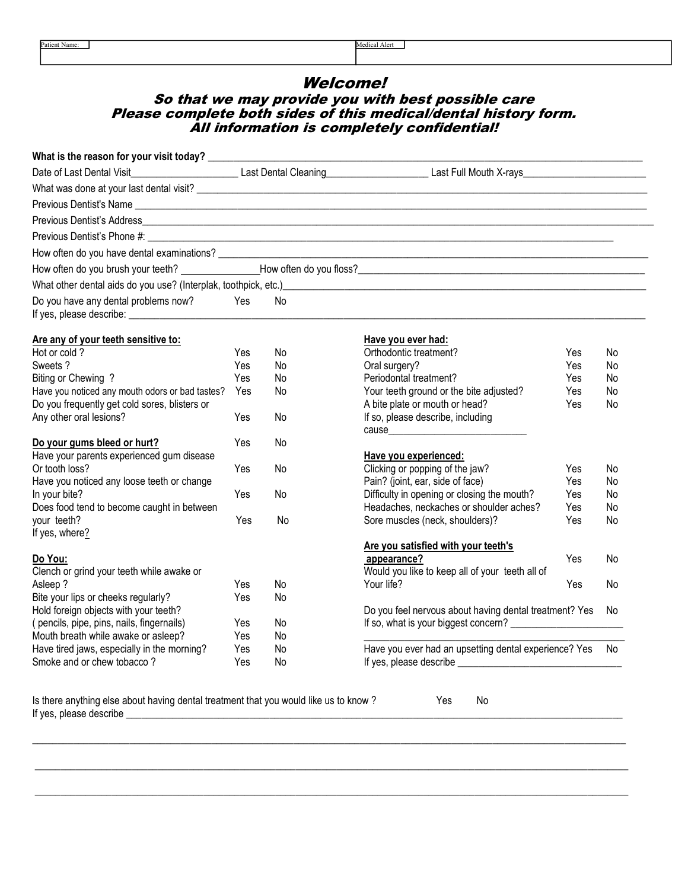# Welcome! So that we may provide you with best possible care Please complete both sides of this medical/dental history form. All information is completely confidential!

|                                                 |     |           | What other dental aids do you use? (Interplak, toothpick, etc.)<br>and the contract of the contract of the contract of the contract of the contract of the contract of the contract of the contract of the contract of the contr |     |     |
|-------------------------------------------------|-----|-----------|----------------------------------------------------------------------------------------------------------------------------------------------------------------------------------------------------------------------------------|-----|-----|
| Do you have any dental problems now?            | Yes | No        |                                                                                                                                                                                                                                  |     |     |
| Are any of your teeth sensitive to:             |     |           | Have you ever had:                                                                                                                                                                                                               |     |     |
| Hot or cold?                                    | Yes | No        | Orthodontic treatment?                                                                                                                                                                                                           | Yes | No  |
| Sweets?                                         | Yes | No        | Oral surgery?                                                                                                                                                                                                                    | Yes | No  |
| Biting or Chewing ?                             | Yes | No        | Periodontal treatment?                                                                                                                                                                                                           | Yes | No  |
| Have you noticed any mouth odors or bad tastes? | Yes | No        | Your teeth ground or the bite adjusted?                                                                                                                                                                                          | Yes | No  |
| Do you frequently get cold sores, blisters or   |     |           | A bite plate or mouth or head?                                                                                                                                                                                                   | Yes | No  |
| Any other oral lesions?                         | Yes | No        | If so, please describe, including                                                                                                                                                                                                |     |     |
| Do your gums bleed or hurt?                     | Yes | <b>No</b> |                                                                                                                                                                                                                                  |     |     |
| Have your parents experienced gum disease       |     |           | Have you experienced:                                                                                                                                                                                                            |     |     |
| Or tooth loss?                                  | Yes | No        | Clicking or popping of the jaw?                                                                                                                                                                                                  | Yes | No  |
| Have you noticed any loose teeth or change      |     |           | Pain? (joint, ear, side of face)                                                                                                                                                                                                 | Yes | No  |
| In your bite?                                   | Yes | No        | Difficulty in opening or closing the mouth?                                                                                                                                                                                      | Yes | No  |
| Does food tend to become caught in between      |     |           | Headaches, neckaches or shoulder aches?                                                                                                                                                                                          | Yes | No. |
| your teeth?                                     | Yes | No        | Sore muscles (neck, shoulders)?                                                                                                                                                                                                  | Yes | No  |
| If yes, where?                                  |     |           | Are you satisfied with your teeth's                                                                                                                                                                                              |     |     |
| Do You:                                         |     |           | appearance?                                                                                                                                                                                                                      | Yes | No  |
| Clench or grind your teeth while awake or       |     |           | Would you like to keep all of your teeth all of                                                                                                                                                                                  |     |     |
| Asleep ?                                        | Yes | No        | Your life?                                                                                                                                                                                                                       | Yes | No  |
| Bite your lips or cheeks regularly?             | Yes | No        |                                                                                                                                                                                                                                  |     |     |
| Hold foreign objects with your teeth?           |     |           | Do you feel nervous about having dental treatment? Yes                                                                                                                                                                           |     | No. |
| (pencils, pipe, pins, nails, fingernails)       | Yes | No        |                                                                                                                                                                                                                                  |     |     |
| Mouth breath while awake or asleep?             | Yes | No        |                                                                                                                                                                                                                                  |     |     |
| Have tired jaws, especially in the morning?     | Yes | No        | Have you ever had an upsetting dental experience? Yes                                                                                                                                                                            |     | No  |
| Smoke and or chew tobacco?                      | Yes | No        |                                                                                                                                                                                                                                  |     |     |

\_\_\_\_\_\_\_\_\_\_\_\_\_\_\_\_\_\_\_\_\_\_\_\_\_\_\_\_\_\_\_\_\_\_\_\_\_\_\_\_\_\_\_\_\_\_\_\_\_\_\_\_\_\_\_\_\_\_\_\_\_\_\_\_\_\_\_\_\_\_\_\_\_\_\_\_\_\_\_\_\_\_\_\_\_\_\_\_\_\_\_\_\_\_\_\_\_\_\_\_\_\_\_\_\_\_\_\_\_\_\_\_\_\_\_\_

\_\_\_\_\_\_\_\_\_\_\_\_\_\_\_\_\_\_\_\_\_\_\_\_\_\_\_\_\_\_\_\_\_\_\_\_\_\_\_\_\_\_\_\_\_\_\_\_\_\_\_\_\_\_\_\_\_\_\_\_\_\_\_\_\_\_\_\_\_\_\_\_\_\_\_\_\_\_\_\_\_\_\_\_\_\_\_\_\_\_\_\_\_\_\_\_\_\_\_\_\_\_\_\_\_\_\_\_\_\_\_\_\_\_\_\_

\_\_\_\_\_\_\_\_\_\_\_\_\_\_\_\_\_\_\_\_\_\_\_\_\_\_\_\_\_\_\_\_\_\_\_\_\_\_\_\_\_\_\_\_\_\_\_\_\_\_\_\_\_\_\_\_\_\_\_\_\_\_\_\_\_\_\_\_\_\_\_\_\_\_\_\_\_\_\_\_\_\_\_\_\_\_\_\_\_\_\_\_\_\_\_\_\_\_\_\_\_\_\_\_\_\_\_\_\_\_\_\_\_\_\_\_

Is there anything else about having dental treatment that you would like us to know ? Yes No If yes, please describe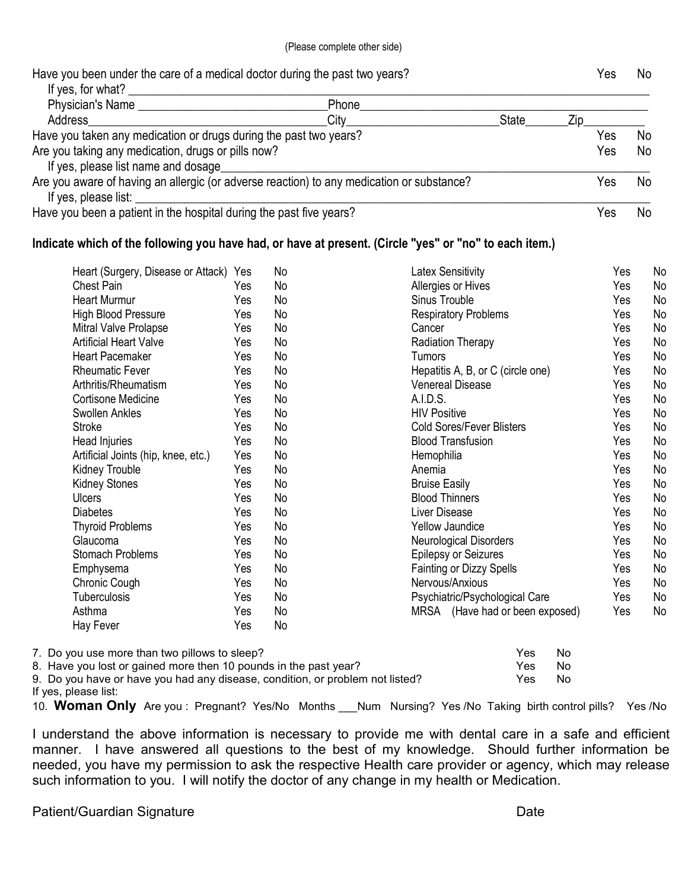| Have you been under the care of a medical doctor during the past two years?<br>If yes, for what?                  |       |              | Yes | No |
|-------------------------------------------------------------------------------------------------------------------|-------|--------------|-----|----|
| Physician's Name                                                                                                  | Phone |              |     |    |
| Address                                                                                                           | City  | <b>State</b> | /in |    |
| Have you taken any medication or drugs during the past two years?                                                 | Yes   | No           |     |    |
| Are you taking any medication, drugs or pills now?<br>If yes, please list name and dosage                         |       |              | Yes | No |
| Are you aware of having an allergic (or adverse reaction) to any medication or substance?<br>If yes, please list: |       |              | 'es | N0 |
| Have you been a patient in the hospital during the past five years?                                               |       |              | 'es | No |

# Indicate which of the following you have had, or have at present. (Circle "yes" or "no" to each item.)

| <b>Chest Pain</b><br>Allergies or Hives<br>Yes<br>No<br>Yes.<br><b>Heart Murmur</b><br>Sinus Trouble<br>Yes<br>Yes<br>No<br><b>High Blood Pressure</b><br>Yes<br>Yes<br><b>Respiratory Problems</b><br>No | N <sub>o</sub><br>No<br>N <sub>o</sub><br><b>No</b> |
|-----------------------------------------------------------------------------------------------------------------------------------------------------------------------------------------------------------|-----------------------------------------------------|
|                                                                                                                                                                                                           |                                                     |
|                                                                                                                                                                                                           |                                                     |
|                                                                                                                                                                                                           |                                                     |
| Mitral Valve Prolapse<br>No<br>Yes<br>Yes<br>Cancer                                                                                                                                                       |                                                     |
| <b>Artificial Heart Valve</b><br>Radiation Therapy<br><b>No</b><br>Yes<br>Yes                                                                                                                             | N <sub>o</sub>                                      |
| <b>Heart Pacemaker</b><br>Yes<br>No<br>Tumors<br>Yes                                                                                                                                                      | No                                                  |
| Hepatitis A, B, or C (circle one)<br>Yes<br><b>Rheumatic Fever</b><br>Yes<br>No                                                                                                                           | No                                                  |
| Arthritis/Rheumatism<br>Yes<br><b>Venereal Disease</b><br>Yes<br>No                                                                                                                                       | No                                                  |
| A.I.D.S.<br><b>Cortisone Medicine</b><br>Yes<br>Yes<br>No                                                                                                                                                 | <b>No</b>                                           |
| <b>HIV Positive</b><br>Swollen Ankles<br>Yes<br>No<br>Yes                                                                                                                                                 | N <sub>o</sub>                                      |
| <b>Cold Sores/Fever Blisters</b><br>Stroke<br>Yes<br>No<br>Yes                                                                                                                                            | No                                                  |
| <b>Blood Transfusion</b><br>Head Injuries<br>No<br>Yes<br>Yes                                                                                                                                             | No                                                  |
| Artificial Joints (hip, knee, etc.)<br>Yes<br>No<br>Yes<br>Hemophilia                                                                                                                                     | <b>No</b>                                           |
| Kidney Trouble<br>Anemia<br>Yes<br>Yes<br>No                                                                                                                                                              | No                                                  |
| <b>Kidney Stones</b><br>Yes<br><b>Bruise Easily</b><br>Yes<br>No                                                                                                                                          | N <sub>o</sub>                                      |
| <b>Blood Thinners</b><br><b>Ulcers</b><br>Yes<br>No<br>Yes                                                                                                                                                | No                                                  |
| <b>Diabetes</b><br>Liver Disease<br>Yes<br>Yes<br>No                                                                                                                                                      | N <sub>o</sub>                                      |
| <b>Thyroid Problems</b><br>Yes<br>Yes<br>No<br><b>Yellow Jaundice</b>                                                                                                                                     | No                                                  |
| <b>Neurological Disorders</b><br>Yes<br>Glaucoma<br>Yes<br>No                                                                                                                                             | No                                                  |
| <b>Stomach Problems</b><br><b>Epilepsy or Seizures</b><br>Yes<br>Yes<br>No                                                                                                                                | No                                                  |
| Emphysema<br>Yes<br>No<br><b>Fainting or Dizzy Spells</b><br>Yes                                                                                                                                          | N <sub>o</sub>                                      |
| Nervous/Anxious<br>Chronic Cough<br>Yes<br><b>No</b><br>Yes                                                                                                                                               | No                                                  |
| Psychiatric/Psychological Care<br><b>Tuberculosis</b><br>No<br>Yes<br>Yes                                                                                                                                 | No                                                  |
| Asthma<br>MRSA (Have had or been exposed)<br>No<br>Yes<br>Yes                                                                                                                                             | No                                                  |
| No<br>Hay Fever<br>Yes                                                                                                                                                                                    |                                                     |

| 7. Do you use more than two pillows to sleep?                                 | Yes. | No |
|-------------------------------------------------------------------------------|------|----|
| 8. Have you lost or gained more then 10 pounds in the past year?              | Yes. | No |
| 9. Do you have or have you had any disease, condition, or problem not listed? | Yes: | No |
| If yes, please list:                                                          |      |    |

10. Woman Only Are you : Pregnant? Yes/No Months Num Nursing? Yes /No Taking birth control pills? Yes /No

I understand the above information is necessary to provide me with dental care in a safe and efficient manner. I have answered all questions to the best of my knowledge. Should further information be needed, you have my permission to ask the respective Health care provider or agency, which may release such information to you. I will notify the doctor of any change in my health or Medication.

# Patient/Guardian Signature **Date** Date Date Date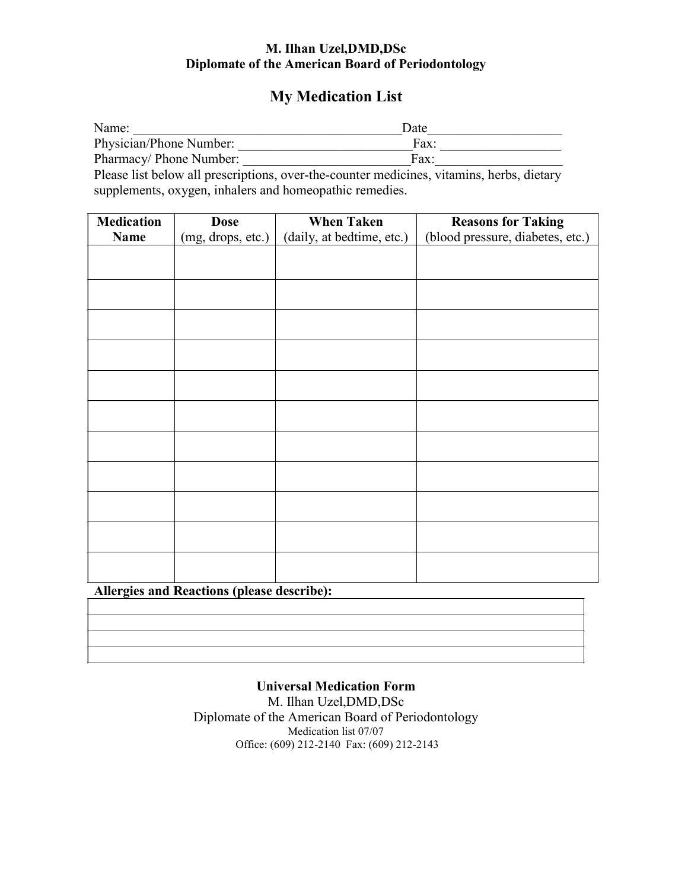# M. Ilhan Uzel,DMD,DSc Diplomate of the American Board of Periodontology

# My Medication List

| Name:                   | Date |
|-------------------------|------|
| Physician/Phone Number: | Fax: |
| Pharmacy/ Phone Number: | Fax  |
|                         |      |

Please list below all prescriptions, over-the-counter medicines, vitamins, herbs, dietary supplements, oxygen, inhalers and homeopathic remedies.

| <b>Medication</b> | <b>Dose</b>       | <b>When Taken</b>         | <b>Reasons for Taking</b>        |
|-------------------|-------------------|---------------------------|----------------------------------|
| <b>Name</b>       | (mg, drops, etc.) | (daily, at bedtime, etc.) | (blood pressure, diabetes, etc.) |
|                   |                   |                           |                                  |
|                   |                   |                           |                                  |
|                   |                   |                           |                                  |
|                   |                   |                           |                                  |
|                   |                   |                           |                                  |
|                   |                   |                           |                                  |
|                   |                   |                           |                                  |
|                   |                   |                           |                                  |
|                   |                   |                           |                                  |
|                   |                   |                           |                                  |
|                   |                   |                           |                                  |
|                   |                   |                           |                                  |
|                   |                   |                           |                                  |
|                   |                   |                           |                                  |
|                   |                   |                           |                                  |
|                   |                   |                           |                                  |
|                   |                   |                           |                                  |
|                   |                   |                           |                                  |
|                   |                   |                           |                                  |
|                   |                   |                           |                                  |
|                   |                   |                           |                                  |

Allergies and Reactions (please describe):

# Universal Medication Form

M. Ilhan Uzel,DMD,DSc Diplomate of the American Board of Periodontology Medication list 07/07 Office: (609) 212-2140 Fax: (609) 212-2143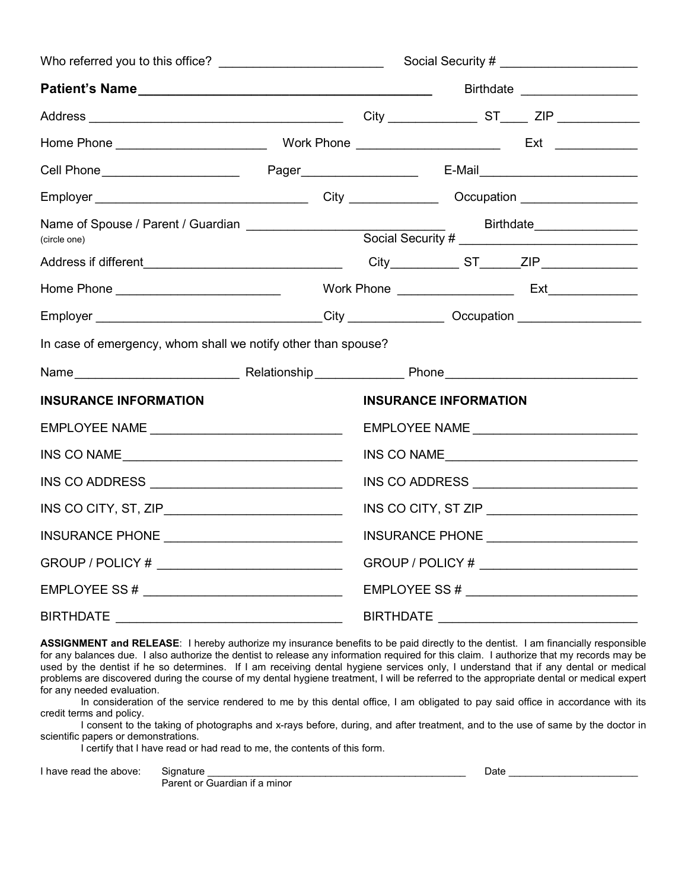|                                                               | Social Security # _______________________ |                  |                                                                      |                               |  |
|---------------------------------------------------------------|-------------------------------------------|------------------|----------------------------------------------------------------------|-------------------------------|--|
|                                                               |                                           |                  |                                                                      | Birthdate ___________________ |  |
|                                                               |                                           |                  |                                                                      |                               |  |
|                                                               |                                           |                  |                                                                      |                               |  |
|                                                               |                                           |                  |                                                                      |                               |  |
|                                                               |                                           |                  |                                                                      |                               |  |
|                                                               |                                           |                  |                                                                      |                               |  |
|                                                               |                                           |                  |                                                                      |                               |  |
|                                                               |                                           |                  |                                                                      |                               |  |
|                                                               |                                           |                  |                                                                      |                               |  |
| In case of emergency, whom shall we notify other than spouse? |                                           |                  |                                                                      |                               |  |
|                                                               |                                           |                  |                                                                      |                               |  |
| <b>INSURANCE INFORMATION</b>                                  |                                           |                  | <b>INSURANCE INFORMATION</b>                                         |                               |  |
| EMPLOYEE NAME ___________________________________             |                                           |                  |                                                                      |                               |  |
| INS CO NAME                                                   |                                           |                  | INS CO NAME                                                          |                               |  |
| INS CO ADDRESS $\_\_\_\_\_\_\_\_\_\_\_\_\_\_\_\_\_\_\_ \_$    |                                           |                  | INS CO ADDRESS $\_\_$                                                |                               |  |
|                                                               |                                           |                  | INS CO CITY, ST ZIP $\_\_\_\_\_\_\_\_\_\_\_\_\_\_\_\_\_\_\_\_\_\_\_$ |                               |  |
|                                                               |                                           |                  | INSURANCE PHONE ______________________                               |                               |  |
|                                                               |                                           |                  | GROUP / POLICY # _________________________                           |                               |  |
| EMPLOYEE SS #                                                 |                                           |                  |                                                                      |                               |  |
| <b>BIRTHDATE</b>                                              |                                           | <b>BIRTHDATE</b> |                                                                      |                               |  |

ASSIGNMENT and RELEASE: I hereby authorize my insurance benefits to be paid directly to the dentist. I am financially responsible for any balances due. I also authorize the dentist to release any information required for this claim. I authorize that my records may be used by the dentist if he so determines. If I am receiving dental hygiene services only, I understand that if any dental or medical problems are discovered during the course of my dental hygiene treatment, I will be referred to the appropriate dental or medical expert for any needed evaluation.

 In consideration of the service rendered to me by this dental office, I am obligated to pay said office in accordance with its credit terms and policy.

 I consent to the taking of photographs and x-rays before, during, and after treatment, and to the use of same by the doctor in scientific papers or demonstrations.

I certify that I have read or had read to me, the contents of this form.

I have read the above: Gignature equal to the state of the state of the state of the state of the state of the state of the state of the state of the state of the state of the state of the state of the state of the state o

Parent or Guardian if a minor